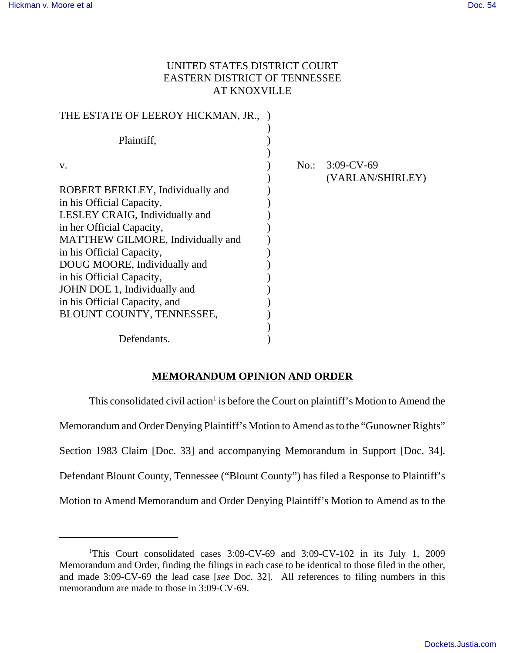# UNITED STATES DISTRICT COURT EASTERN DISTRICT OF TENNESSEE AT KNOXVILLE

|                                      | No.: $3:09$ -CV-69<br>(VARLAN/SHIRLEY) |
|--------------------------------------|----------------------------------------|
|                                      |                                        |
|                                      |                                        |
|                                      |                                        |
|                                      |                                        |
|                                      |                                        |
|                                      |                                        |
|                                      |                                        |
|                                      |                                        |
|                                      |                                        |
|                                      |                                        |
|                                      |                                        |
|                                      |                                        |
|                                      |                                        |
| THE ESTATE OF LEEROY HICKMAN, JR., ) |                                        |

## **MEMORANDUM OPINION AND ORDER**

This consolidated civil action<sup>1</sup> is before the Court on plaintiff's Motion to Amend the Memorandum and Order Denying Plaintiff's Motion to Amend as to the "Gunowner Rights" Section 1983 Claim [Doc. 33] and accompanying Memorandum in Support [Doc. 34]. Defendant Blount County, Tennessee ("Blount County") has filed a Response to Plaintiff's Motion to Amend Memorandum and Order Denying Plaintiff's Motion to Amend as to the

<sup>&</sup>lt;sup>1</sup>This Court consolidated cases 3:09-CV-69 and 3:09-CV-102 in its July 1, 2009 Memorandum and Order, finding the filings in each case to be identical to those filed in the other, and made 3:09-CV-69 the lead case [*see* Doc. 32]. All references to filing numbers in this memorandum are made to those in 3:09-CV-69.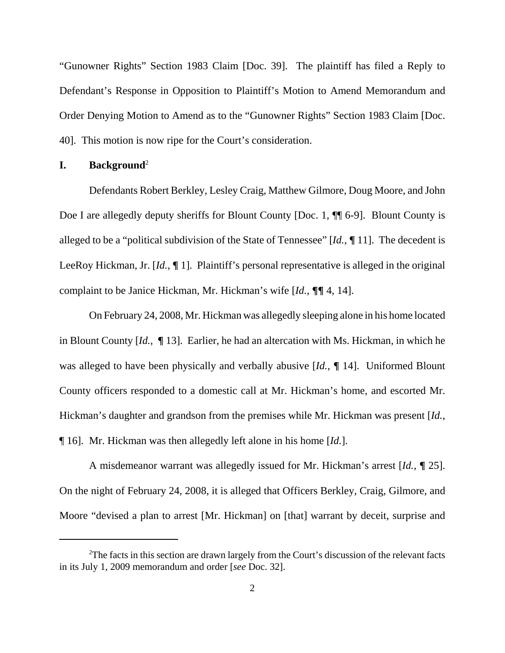"Gunowner Rights" Section 1983 Claim [Doc. 39]. The plaintiff has filed a Reply to Defendant's Response in Opposition to Plaintiff's Motion to Amend Memorandum and Order Denying Motion to Amend as to the "Gunowner Rights" Section 1983 Claim [Doc. 40]. This motion is now ripe for the Court's consideration.

### **I. Background**<sup>2</sup>

Defendants Robert Berkley, Lesley Craig, Matthew Gilmore, Doug Moore, and John Doe I are allegedly deputy sheriffs for Blount County [Doc. 1,  $\P$  6-9]. Blount County is alleged to be a "political subdivision of the State of Tennessee" [*Id.*, **¶** 11]. The decedent is LeeRoy Hickman, Jr. [*Id.*, **¶** 1]. Plaintiff's personal representative is alleged in the original complaint to be Janice Hickman, Mr. Hickman's wife [*Id.*, **¶¶** 4, 14].

On February 24, 2008, Mr. Hickman was allegedly sleeping alone in his home located in Blount County [*Id.*, **¶** 13]. Earlier, he had an altercation with Ms. Hickman, in which he was alleged to have been physically and verbally abusive [*Id.*, **¶** 14]. Uniformed Blount County officers responded to a domestic call at Mr. Hickman's home, and escorted Mr. Hickman's daughter and grandson from the premises while Mr. Hickman was present [*Id.*, ¶ 16]. Mr. Hickman was then allegedly left alone in his home [*Id.*].

A misdemeanor warrant was allegedly issued for Mr. Hickman's arrest [*Id.*, **¶** 25]. On the night of February 24, 2008, it is alleged that Officers Berkley, Craig, Gilmore, and Moore "devised a plan to arrest [Mr. Hickman] on [that] warrant by deceit, surprise and

 $2$ The facts in this section are drawn largely from the Court's discussion of the relevant facts in its July 1, 2009 memorandum and order [*see* Doc. 32].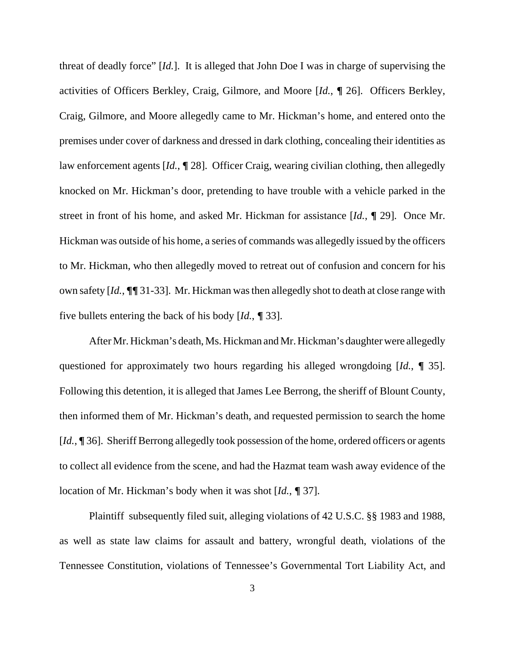threat of deadly force" [*Id.*]. It is alleged that John Doe I was in charge of supervising the activities of Officers Berkley, Craig, Gilmore, and Moore [*Id.*, **¶** 26]. Officers Berkley, Craig, Gilmore, and Moore allegedly came to Mr. Hickman's home, and entered onto the premises under cover of darkness and dressed in dark clothing, concealing their identities as law enforcement agents [*Id.*, **¶** 28]. Officer Craig, wearing civilian clothing, then allegedly knocked on Mr. Hickman's door, pretending to have trouble with a vehicle parked in the street in front of his home, and asked Mr. Hickman for assistance [*Id.*, **¶** 29]. Once Mr. Hickman was outside of his home, a series of commands was allegedly issued by the officers to Mr. Hickman, who then allegedly moved to retreat out of confusion and concern for his own safety [*Id.*, **¶¶** 31-33]. Mr. Hickman was then allegedly shot to death at close range with five bullets entering the back of his body [*Id.*, **¶** 33].

After Mr. Hickman's death, Ms. Hickman and Mr. Hickman's daughter were allegedly questioned for approximately two hours regarding his alleged wrongdoing [*Id.*, **¶** 35]. Following this detention, it is alleged that James Lee Berrong, the sheriff of Blount County, then informed them of Mr. Hickman's death, and requested permission to search the home [*Id.*, **¶** 36]. Sheriff Berrong allegedly took possession of the home, ordered officers or agents to collect all evidence from the scene, and had the Hazmat team wash away evidence of the location of Mr. Hickman's body when it was shot [*Id.*, **¶** 37].

Plaintiff subsequently filed suit, alleging violations of 42 U.S.C. §§ 1983 and 1988, as well as state law claims for assault and battery, wrongful death, violations of the Tennessee Constitution, violations of Tennessee's Governmental Tort Liability Act, and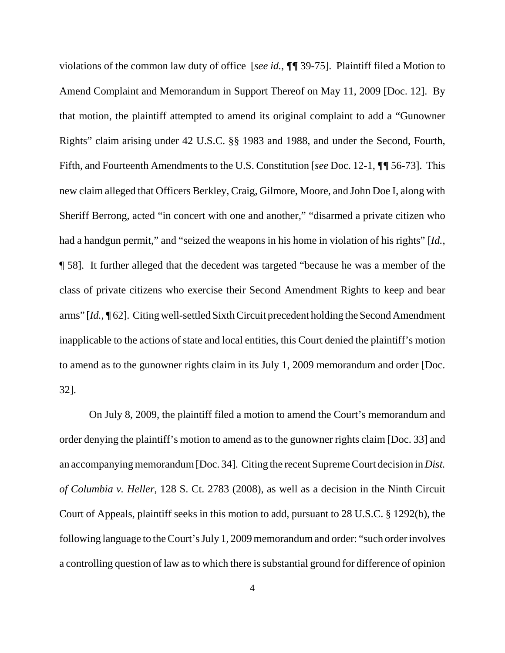violations of the common law duty of office [*see id.*, **¶¶** 39-75]. Plaintiff filed a Motion to Amend Complaint and Memorandum in Support Thereof on May 11, 2009 [Doc. 12]. By that motion, the plaintiff attempted to amend its original complaint to add a "Gunowner Rights" claim arising under 42 U.S.C. §§ 1983 and 1988, and under the Second, Fourth, Fifth, and Fourteenth Amendments to the U.S. Constitution [*see* Doc. 12-1, **¶¶** 56-73]. This new claim alleged that Officers Berkley, Craig, Gilmore, Moore, and John Doe I, along with Sheriff Berrong, acted "in concert with one and another," "disarmed a private citizen who had a handgun permit," and "seized the weapons in his home in violation of his rights" [*Id.*, ¶ 58]. It further alleged that the decedent was targeted "because he was a member of the class of private citizens who exercise their Second Amendment Rights to keep and bear arms" [*Id.*, **¶** 62]. Citing well-settled Sixth Circuit precedent holding the Second Amendment inapplicable to the actions of state and local entities, this Court denied the plaintiff's motion to amend as to the gunowner rights claim in its July 1, 2009 memorandum and order [Doc. 32].

On July 8, 2009, the plaintiff filed a motion to amend the Court's memorandum and order denying the plaintiff's motion to amend as to the gunowner rights claim [Doc. 33] and an accompanying memorandum [Doc. 34]. Citing the recent Supreme Court decision in *Dist. of Columbia v. Heller*, 128 S. Ct. 2783 (2008), as well as a decision in the Ninth Circuit Court of Appeals, plaintiff seeks in this motion to add, pursuant to 28 U.S.C. § 1292(b), the following language to the Court's July 1, 2009 memorandum and order: "such order involves a controlling question of law as to which there is substantial ground for difference of opinion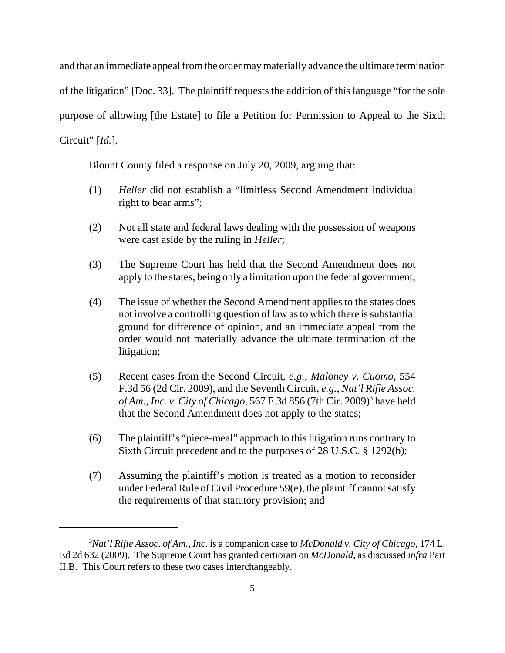and that an immediate appeal from the order may materially advance the ultimate termination of the litigation" [Doc. 33]. The plaintiff requests the addition of this language "for the sole purpose of allowing [the Estate] to file a Petition for Permission to Appeal to the Sixth Circuit" [*Id.*].

Blount County filed a response on July 20, 2009, arguing that:

- (1) *Heller* did not establish a "limitless Second Amendment individual right to bear arms";
- (2) Not all state and federal laws dealing with the possession of weapons were cast aside by the ruling in *Heller*;
- (3) The Supreme Court has held that the Second Amendment does not apply to the states, being only a limitation upon the federal government;
- (4) The issue of whether the Second Amendment applies to the states does not involve a controlling question of law as to which there is substantial ground for difference of opinion, and an immediate appeal from the order would not materially advance the ultimate termination of the litigation;
- (5) Recent cases from the Second Circuit, *e.g.*, *Maloney v. Cuomo*, 554 F.3d 56 (2d Cir. 2009), and the Seventh Circuit, *e.g.*, *Nat'l Rifle Assoc.* of Am., Inc. v. City of Chicago, 567 F.3d 856 (7th Cir. 2009)<sup>3</sup> have held that the Second Amendment does not apply to the states;
- (6) The plaintiff's "piece-meal" approach to this litigation runs contrary to Sixth Circuit precedent and to the purposes of 28 U.S.C. § 1292(b);
- (7) Assuming the plaintiff's motion is treated as a motion to reconsider under Federal Rule of Civil Procedure 59(e), the plaintiff cannot satisfy the requirements of that statutory provision; and

<sup>3</sup> *Nat'l Rifle Assoc. of Am., Inc.* is a companion case to *McDonald v. City of Chicago*, 174 L. Ed 2d 632 (2009). The Supreme Court has granted certiorari on *McDonald*, as discussed *infra* Part II.B. This Court refers to these two cases interchangeably.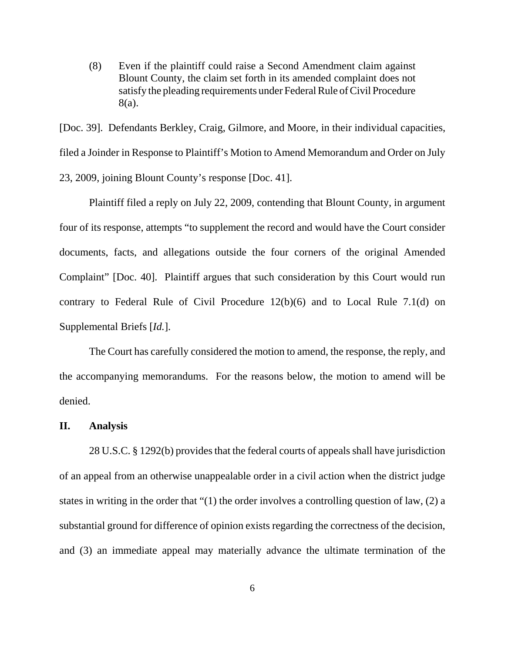(8) Even if the plaintiff could raise a Second Amendment claim against Blount County, the claim set forth in its amended complaint does not satisfy the pleading requirements under Federal Rule of Civil Procedure 8(a).

[Doc. 39]. Defendants Berkley, Craig, Gilmore, and Moore, in their individual capacities, filed a Joinder in Response to Plaintiff's Motion to Amend Memorandum and Order on July 23, 2009, joining Blount County's response [Doc. 41].

Plaintiff filed a reply on July 22, 2009, contending that Blount County, in argument four of its response, attempts "to supplement the record and would have the Court consider documents, facts, and allegations outside the four corners of the original Amended Complaint" [Doc. 40]. Plaintiff argues that such consideration by this Court would run contrary to Federal Rule of Civil Procedure 12(b)(6) and to Local Rule 7.1(d) on Supplemental Briefs [*Id.*].

The Court has carefully considered the motion to amend, the response, the reply, and the accompanying memorandums. For the reasons below, the motion to amend will be denied.

#### **II. Analysis**

28 U.S.C. § 1292(b) provides that the federal courts of appeals shall have jurisdiction of an appeal from an otherwise unappealable order in a civil action when the district judge states in writing in the order that "(1) the order involves a controlling question of law, (2) a substantial ground for difference of opinion exists regarding the correctness of the decision, and (3) an immediate appeal may materially advance the ultimate termination of the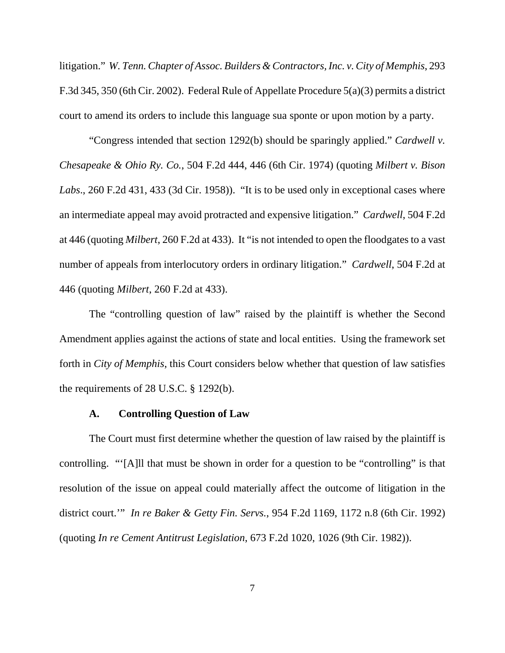litigation." *W. Tenn. Chapter of Assoc. Builders & Contractors, Inc. v. City of Memphis*, 293 F.3d 345, 350 (6th Cir. 2002). Federal Rule of Appellate Procedure 5(a)(3) permits a district court to amend its orders to include this language sua sponte or upon motion by a party.

"Congress intended that section 1292(b) should be sparingly applied." *Cardwell v. Chesapeake & Ohio Ry. Co.*, 504 F.2d 444, 446 (6th Cir. 1974) (quoting *Milbert v. Bison Labs*., 260 F.2d 431, 433 (3d Cir. 1958)). "It is to be used only in exceptional cases where an intermediate appeal may avoid protracted and expensive litigation." *Cardwell*, 504 F.2d at 446 (quoting *Milbert*, 260 F.2d at 433). It "is not intended to open the floodgates to a vast number of appeals from interlocutory orders in ordinary litigation." *Cardwell*, 504 F.2d at 446 (quoting *Milbert*, 260 F.2d at 433).

The "controlling question of law" raised by the plaintiff is whether the Second Amendment applies against the actions of state and local entities. Using the framework set forth in *City of Memphis*, this Court considers below whether that question of law satisfies the requirements of 28 U.S.C. § 1292(b).

#### **A. Controlling Question of Law**

The Court must first determine whether the question of law raised by the plaintiff is controlling. "'[A]ll that must be shown in order for a question to be "controlling" is that resolution of the issue on appeal could materially affect the outcome of litigation in the district court.'" *In re Baker & Getty Fin. Servs.*, 954 F.2d 1169, 1172 n.8 (6th Cir. 1992) (quoting *In re Cement Antitrust Legislation*, 673 F.2d 1020, 1026 (9th Cir. 1982)).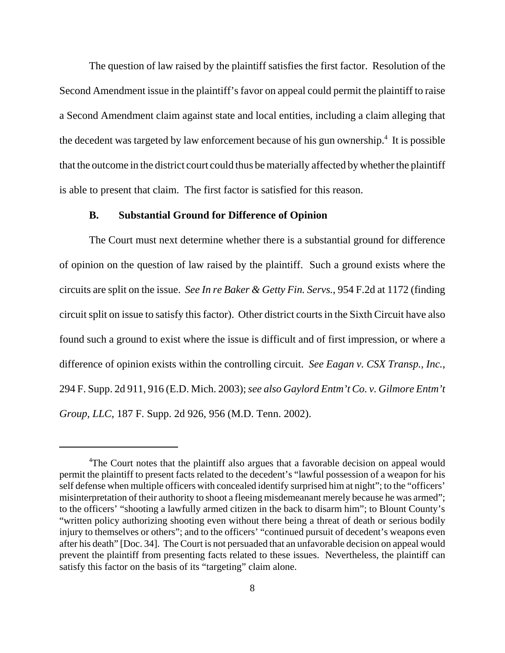The question of law raised by the plaintiff satisfies the first factor. Resolution of the Second Amendment issue in the plaintiff's favor on appeal could permit the plaintiff to raise a Second Amendment claim against state and local entities, including a claim alleging that the decedent was targeted by law enforcement because of his gun ownership.<sup>4</sup> It is possible that the outcome in the district court could thus be materially affected by whether the plaintiff is able to present that claim. The first factor is satisfied for this reason.

#### **B. Substantial Ground for Difference of Opinion**

The Court must next determine whether there is a substantial ground for difference of opinion on the question of law raised by the plaintiff. Such a ground exists where the circuits are split on the issue. *See In re Baker & Getty Fin. Servs.*, 954 F.2d at 1172 (finding circuit split on issue to satisfy this factor). Other district courts in the Sixth Circuit have also found such a ground to exist where the issue is difficult and of first impression, or where a difference of opinion exists within the controlling circuit. *See Eagan v. CSX Transp., Inc.*, 294 F. Supp. 2d 911, 916 (E.D. Mich. 2003); *see also Gaylord Entm't Co. v. Gilmore Entm't Group, LLC*, 187 F. Supp. 2d 926, 956 (M.D. Tenn. 2002).

<sup>&</sup>lt;sup>4</sup>The Court notes that the plaintiff also argues that a favorable decision on appeal would permit the plaintiff to present facts related to the decedent's "lawful possession of a weapon for his self defense when multiple officers with concealed identify surprised him at night"; to the "officers' misinterpretation of their authority to shoot a fleeing misdemeanant merely because he was armed"; to the officers' "shooting a lawfully armed citizen in the back to disarm him"; to Blount County's "written policy authorizing shooting even without there being a threat of death or serious bodily injury to themselves or others"; and to the officers' "continued pursuit of decedent's weapons even after his death" [Doc. 34]. The Court is not persuaded that an unfavorable decision on appeal would prevent the plaintiff from presenting facts related to these issues. Nevertheless, the plaintiff can satisfy this factor on the basis of its "targeting" claim alone.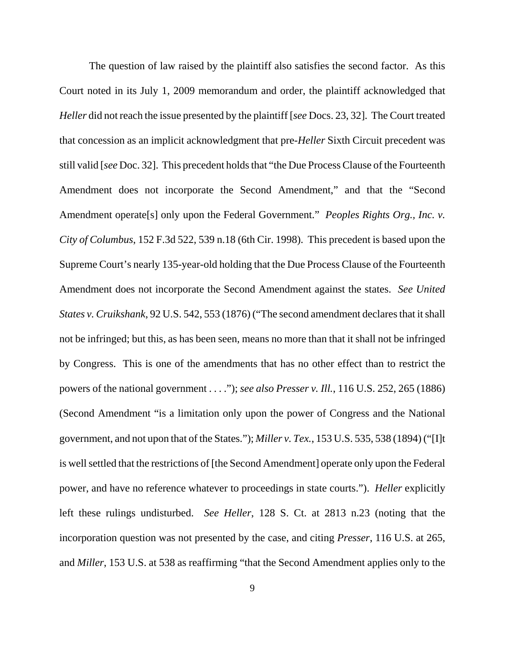The question of law raised by the plaintiff also satisfies the second factor. As this Court noted in its July 1, 2009 memorandum and order, the plaintiff acknowledged that *Heller* did not reach the issue presented by the plaintiff [*see* Docs. 23, 32]. The Court treated that concession as an implicit acknowledgment that pre-*Heller* Sixth Circuit precedent was still valid [*see* Doc. 32]. This precedent holds that "the Due Process Clause of the Fourteenth Amendment does not incorporate the Second Amendment," and that the "Second Amendment operate[s] only upon the Federal Government." *Peoples Rights Org., Inc. v. City of Columbus*, 152 F.3d 522, 539 n.18 (6th Cir. 1998). This precedent is based upon the Supreme Court's nearly 135-year-old holding that the Due Process Clause of the Fourteenth Amendment does not incorporate the Second Amendment against the states. *See United States v. Cruikshank*, 92 U.S. 542, 553 (1876) ("The second amendment declares that it shall not be infringed; but this, as has been seen, means no more than that it shall not be infringed by Congress. This is one of the amendments that has no other effect than to restrict the powers of the national government . . . ."); *see also Presser v. Ill.*, 116 U.S. 252, 265 (1886) (Second Amendment "is a limitation only upon the power of Congress and the National government, and not upon that of the States."); *Miller v. Tex.*, 153 U.S. 535, 538 (1894) ("[I]t is well settled that the restrictions of [the Second Amendment] operate only upon the Federal power, and have no reference whatever to proceedings in state courts."). *Heller* explicitly left these rulings undisturbed. *See Heller*, 128 S. Ct. at 2813 n.23 (noting that the incorporation question was not presented by the case, and citing *Presser*, 116 U.S. at 265, and *Miller*, 153 U.S. at 538 as reaffirming "that the Second Amendment applies only to the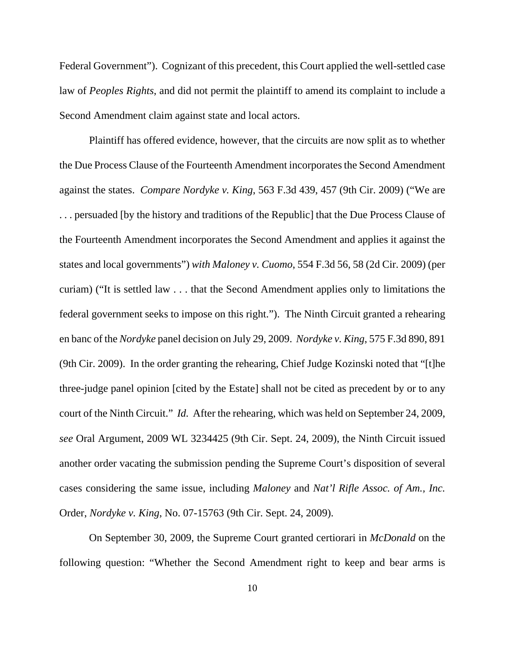Federal Government"). Cognizant of this precedent, this Court applied the well-settled case law of *Peoples Rights*, and did not permit the plaintiff to amend its complaint to include a Second Amendment claim against state and local actors.

Plaintiff has offered evidence, however, that the circuits are now split as to whether the Due Process Clause of the Fourteenth Amendment incorporates the Second Amendment against the states. *Compare Nordyke v. King*, 563 F.3d 439, 457 (9th Cir. 2009) ("We are . . . persuaded [by the history and traditions of the Republic] that the Due Process Clause of the Fourteenth Amendment incorporates the Second Amendment and applies it against the states and local governments") *with Maloney v. Cuomo*, 554 F.3d 56, 58 (2d Cir. 2009) (per curiam) ("It is settled law . . . that the Second Amendment applies only to limitations the federal government seeks to impose on this right."). The Ninth Circuit granted a rehearing en banc of the *Nordyke* panel decision on July 29, 2009. *Nordyke v. King*, 575 F.3d 890, 891 (9th Cir. 2009). In the order granting the rehearing, Chief Judge Kozinski noted that "[t]he three-judge panel opinion [cited by the Estate] shall not be cited as precedent by or to any court of the Ninth Circuit." *Id.* After the rehearing, which was held on September 24, 2009, *see* Oral Argument, 2009 WL 3234425 (9th Cir. Sept. 24, 2009), the Ninth Circuit issued another order vacating the submission pending the Supreme Court's disposition of several cases considering the same issue, including *Maloney* and *Nat'l Rifle Assoc. of Am., Inc.* Order, *Nordyke v. King*, No. 07-15763 (9th Cir. Sept. 24, 2009).

On September 30, 2009, the Supreme Court granted certiorari in *McDonald* on the following question: "Whether the Second Amendment right to keep and bear arms is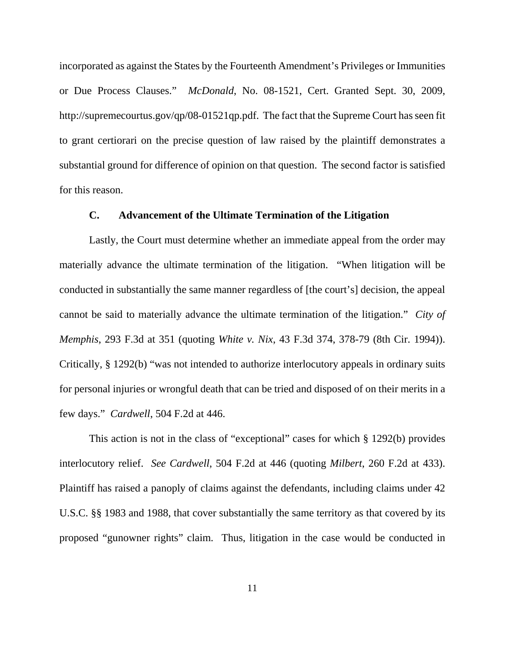incorporated as against the States by the Fourteenth Amendment's Privileges or Immunities or Due Process Clauses." *McDonald*, No. 08-1521, Cert. Granted Sept. 30, 2009, http://supremecourtus.gov/qp/08-01521qp.pdf. The fact that the Supreme Court has seen fit to grant certiorari on the precise question of law raised by the plaintiff demonstrates a substantial ground for difference of opinion on that question. The second factor is satisfied for this reason.

#### **C. Advancement of the Ultimate Termination of the Litigation**

Lastly, the Court must determine whether an immediate appeal from the order may materially advance the ultimate termination of the litigation. "When litigation will be conducted in substantially the same manner regardless of [the court's] decision, the appeal cannot be said to materially advance the ultimate termination of the litigation." *City of Memphis*, 293 F.3d at 351 (quoting *White v. Nix*, 43 F.3d 374, 378-79 (8th Cir. 1994)). Critically, § 1292(b) "was not intended to authorize interlocutory appeals in ordinary suits for personal injuries or wrongful death that can be tried and disposed of on their merits in a few days." *Cardwell*, 504 F.2d at 446.

This action is not in the class of "exceptional" cases for which § 1292(b) provides interlocutory relief. *See Cardwell*, 504 F.2d at 446 (quoting *Milbert*, 260 F.2d at 433). Plaintiff has raised a panoply of claims against the defendants, including claims under 42 U.S.C. §§ 1983 and 1988, that cover substantially the same territory as that covered by its proposed "gunowner rights" claim. Thus, litigation in the case would be conducted in